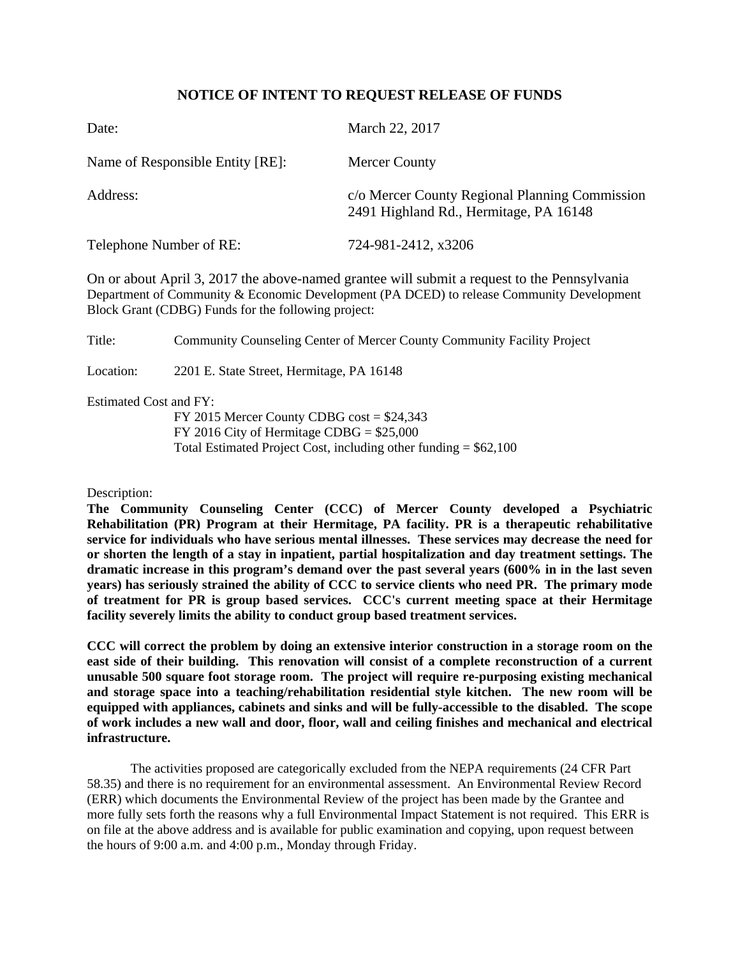## **NOTICE OF INTENT TO REQUEST RELEASE OF FUNDS**

| Date:                            | March 22, 2017                                                                           |
|----------------------------------|------------------------------------------------------------------------------------------|
| Name of Responsible Entity [RE]: | <b>Mercer County</b>                                                                     |
| Address:                         | c/o Mercer County Regional Planning Commission<br>2491 Highland Rd., Hermitage, PA 16148 |
| Telephone Number of RE:          | 724-981-2412, x3206                                                                      |

On or about April 3, 2017 the above-named grantee will submit a request to the Pennsylvania Department of Community & Economic Development (PA DCED) to release Community Development Block Grant (CDBG) Funds for the following project:

Title: Community Counseling Center of Mercer County Community Facility Project

Location: 2201 E. State Street, Hermitage, PA 16148

Estimated Cost and FY:

FY 2015 Mercer County CDBG cost = \$24,343 FY 2016 City of Hermitage CDBG = \$25,000 Total Estimated Project Cost, including other funding  $=$  \$62,100

Description:

**The Community Counseling Center (CCC) of Mercer County developed a Psychiatric Rehabilitation (PR) Program at their Hermitage, PA facility. PR is a therapeutic rehabilitative service for individuals who have serious mental illnesses. These services may decrease the need for or shorten the length of a stay in inpatient, partial hospitalization and day treatment settings. The dramatic increase in this program's demand over the past several years (600% in in the last seven years) has seriously strained the ability of CCC to service clients who need PR. The primary mode of treatment for PR is group based services. CCC's current meeting space at their Hermitage facility severely limits the ability to conduct group based treatment services.** 

**CCC will correct the problem by doing an extensive interior construction in a storage room on the east side of their building. This renovation will consist of a complete reconstruction of a current unusable 500 square foot storage room. The project will require re-purposing existing mechanical and storage space into a teaching/rehabilitation residential style kitchen. The new room will be equipped with appliances, cabinets and sinks and will be fully-accessible to the disabled. The scope of work includes a new wall and door, floor, wall and ceiling finishes and mechanical and electrical infrastructure.** 

The activities proposed are categorically excluded from the NEPA requirements (24 CFR Part 58.35) and there is no requirement for an environmental assessment. An Environmental Review Record (ERR) which documents the Environmental Review of the project has been made by the Grantee and more fully sets forth the reasons why a full Environmental Impact Statement is not required. This ERR is on file at the above address and is available for public examination and copying, upon request between the hours of 9:00 a.m. and 4:00 p.m., Monday through Friday.